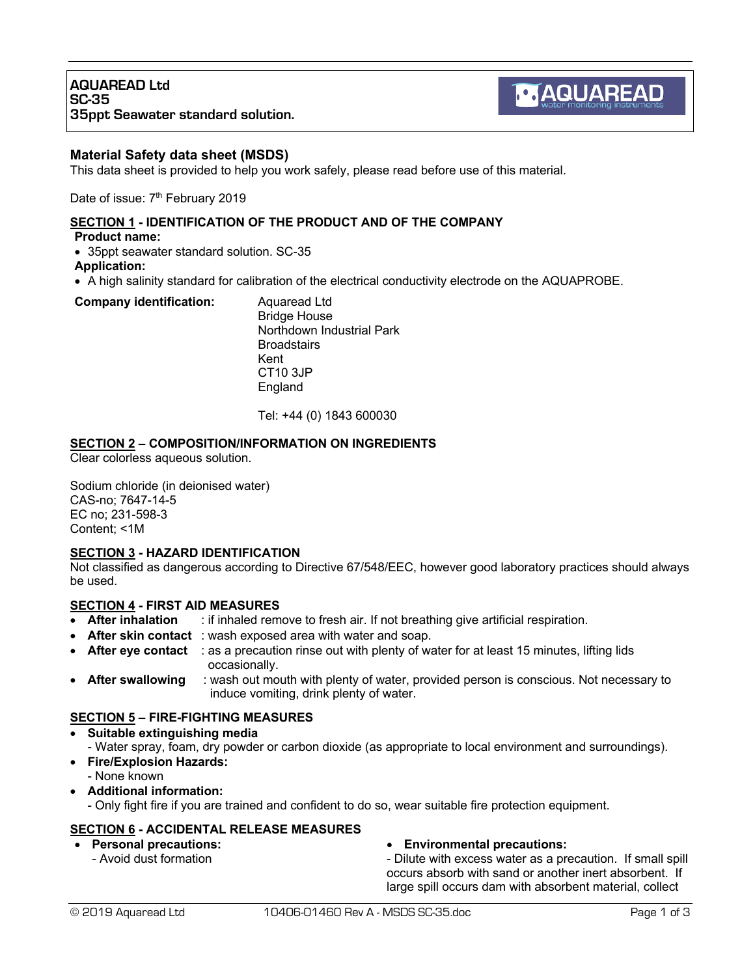# **Material Safety data sheet (MSDS)**

This data sheet is provided to help you work safely, please read before use of this material.

Date of issue: 7<sup>th</sup> February 2019

### **SECTION 1 - IDENTIFICATION OF THE PRODUCT AND OF THE COMPANY**

**Product name:**

• 35ppt seawater standard solution. SC-35

**Application:**

• A high salinity standard for calibration of the electrical conductivity electrode on the AQUAPROBE.

#### **Company identification:** Aquaread Ltd

Bridge House Northdown Industrial Park **Broadstairs** Kent CT10 3JP England

Tel: +44 (0) 1843 600030

# **SECTION 2 – COMPOSITION/INFORMATION ON INGREDIENTS**

Clear colorless aqueous solution.

Sodium chloride (in deionised water) CAS-no; 7647-14-5 EC no; 231-598-3 Content; <1M

### **SECTION 3 - HAZARD IDENTIFICATION**

Not classified as dangerous according to Directive 67/548/EEC, however good laboratory practices should always be used.

# **SECTION 4 - FIRST AID MEASURES**

- **After inhalation** : if inhaled remove to fresh air. If not breathing give artificial respiration.
- **After skin contact**: wash exposed area with water and soap.
- **After eye contact** : as a precaution rinse out with plenty of water for at least 15 minutes, lifting lids occasionally.
- **After swallowing** : wash out mouth with plenty of water, provided person is conscious. Not necessary to induce vomiting, drink plenty of water.

# **SECTION 5 – FIRE-FIGHTING MEASURES**

- **Suitable extinguishing media**
- Water spray, foam, dry powder or carbon dioxide (as appropriate to local environment and surroundings).
- **Fire/Explosion Hazards:**
	- None known
- **Additional information:**

- Only fight fire if you are trained and confident to do so, wear suitable fire protection equipment.

### **SECTION 6 - ACCIDENTAL RELEASE MEASURES**

- **Personal precautions:**
	- Avoid dust formation

### • **Environmental precautions:**

- Dilute with excess water as a precaution. If small spill occurs absorb with sand or another inert absorbent. If large spill occurs dam with absorbent material, collect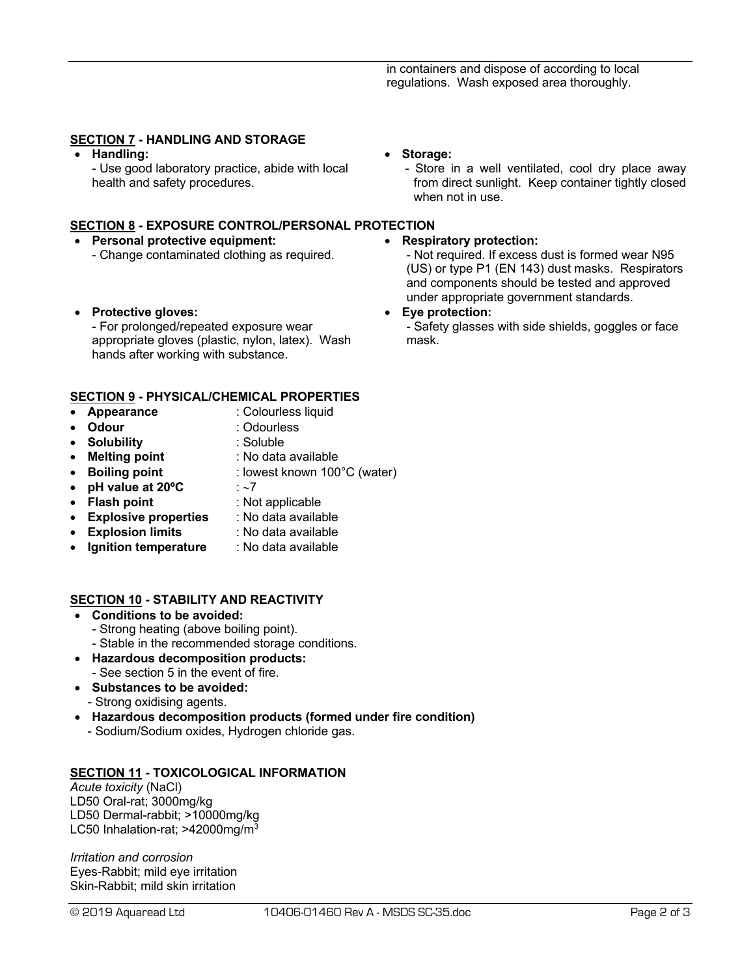# **SECTION 7 - HANDLING AND STORAGE**

• **Handling:**

- Use good laboratory practice, abide with local health and safety procedures.

### **SECTION 8 - EXPOSURE CONTROL/PERSONAL PROTECTION**

- **Personal protective equipment:** - Change contaminated clothing as required.
- **Protective gloves:**

- For prolonged/repeated exposure wear appropriate gloves (plastic, nylon, latex). Wash hands after working with substance.

# **SECTION 9 - PHYSICAL/CHEMICAL PROPERTIES**

- **Appearance** : Colourless liquid<br> **Odour** : Odourless
- **Odour** : Odourless
- **Solubility** : Soluble
- **Melting point** : No data available
- **Boiling point** : lowest known 100°C (water)
- **pH value at 20ºC** : ~7
- 
- **Flash point** : Not applicable
- **Explosive properties** : No data available
- **Explosion limits** : No data available
- **Ignition temperature** : No data available

### **SECTION 10 - STABILITY AND REACTIVITY**

- **Conditions to be avoided:**
	- Strong heating (above boiling point).
	- Stable in the recommended storage conditions.
- **Hazardous decomposition products:** - See section 5 in the event of fire.
- **Substances to be avoided:**
- Strong oxidising agents.
- **Hazardous decomposition products (formed under fire condition)** - Sodium/Sodium oxides, Hydrogen chloride gas.

# **SECTION 11 - TOXICOLOGICAL INFORMATION**

*Acute toxicity* (NaCl) LD50 Oral-rat; 3000mg/kg LD50 Dermal-rabbit; >10000mg/kg LC50 Inhalation-rat;  $>42000$ mg/m<sup>3</sup>

*Irritation and corrosion* Eyes-Rabbit; mild eye irritation Skin-Rabbit; mild skin irritation

- **Storage:**
	- Store in a well ventilated, cool dry place away from direct sunlight. Keep container tightly closed when not in use.

### • **Respiratory protection:**

- Not required. If excess dust is formed wear N95 (US) or type P1 (EN 143) dust masks. Respirators and components should be tested and approved under appropriate government standards.

#### • **Eye protection:**

- Safety glasses with side shields, goggles or face mask.